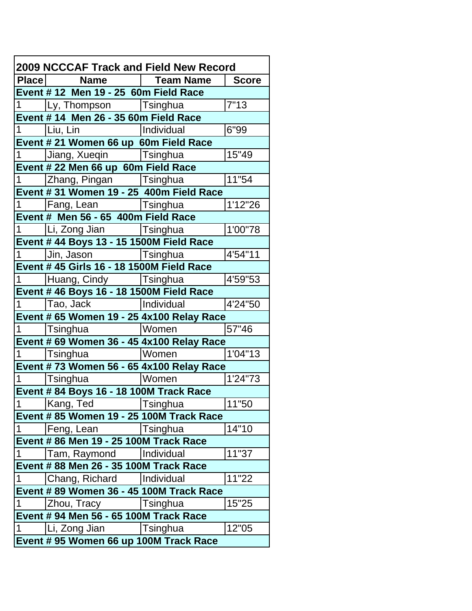| 2009 NCCCAF Track and Field New Record    |                                           |                 |          |  |  |
|-------------------------------------------|-------------------------------------------|-----------------|----------|--|--|
|                                           | Place   Name   Team Name   Score          |                 |          |  |  |
|                                           | Event #12 Men 19 - 25 60m Field Race      |                 |          |  |  |
|                                           | 1   Ly, Thompson   Tsinghua               |                 | 7"13     |  |  |
| Event # 14 Men 26 - 35 60m Field Race     |                                           |                 |          |  |  |
| $1 \_$                                    |                                           | Individual      | 6"99     |  |  |
| Event # 21 Women 66 up 60m Field Race     |                                           |                 |          |  |  |
|                                           | 1   Jiang, Xueqin   Tsinghua              |                 | 15"49    |  |  |
|                                           | Event # 22 Men 66 up 60m Field Race       |                 |          |  |  |
|                                           | 1   Zhang, Pingan   Tsinghua              |                 | 11"54    |  |  |
|                                           | Event # 31 Women 19 - 25 400m Field Race  |                 |          |  |  |
|                                           | 1   Fang, Lean   Tsinghua                 |                 | 1'12"26  |  |  |
| Event # Men 56 - 65 400m Field Race       |                                           |                 |          |  |  |
|                                           | 1   Li, Zong Jian   Tsinghua              |                 | 1'00"78  |  |  |
|                                           | Event # 44 Boys 13 - 15 1500M Field Race  |                 |          |  |  |
| $\mathbf 1$                               | Jin, Jason Tsinghua                       |                 | 4'54"11  |  |  |
| Event # 45 Girls 16 - 18 1500M Field Race |                                           |                 |          |  |  |
|                                           | 1 Huang, Cindy Tsinghua                   |                 | 4'59"53  |  |  |
|                                           | Event # 46 Boys 16 - 18 1500M Field Race  |                 |          |  |  |
|                                           | 1 Tao, Jack Individual                    |                 | 4'24"50  |  |  |
|                                           | Event # 65 Women 19 - 25 4x100 Relay Race |                 |          |  |  |
| 1.                                        | <b>Tsinghua</b>                           | Women           | 57"46    |  |  |
|                                           | Event # 69 Women 36 - 45 4x100 Relay Race |                 |          |  |  |
| $1 \quad$                                 | Tsinghua  Women                           |                 | 1'04"13  |  |  |
|                                           | Event #73 Women 56 - 65 4x100 Relay Race  |                 |          |  |  |
|                                           | 1  Tsinghua  Women                        |                 | 1'24''73 |  |  |
| Event # 84 Boys 16 - 18 100M Track Race   |                                           |                 |          |  |  |
|                                           | 1 Kang, Ted Tsinghua                      |                 | 11"50    |  |  |
|                                           | Event # 85 Women 19 - 25 100M Track Race  |                 |          |  |  |
| $\vert$ 1                                 | Feng, Lean                                | <b>Tsinghua</b> | 14"10    |  |  |
|                                           | Event # 86 Men 19 - 25 100M Track Race    |                 |          |  |  |
| $\vert$ 1                                 | Tam, Raymond                              | Individual      | 11"37    |  |  |
| Event # 88 Men 26 - 35 100M Track Race    |                                           |                 |          |  |  |
| $\vert$ 1                                 | Chang, Richard                            | Individual      | 11"22    |  |  |
| Event # 89 Women 36 - 45 100M Track Race  |                                           |                 |          |  |  |
| $\vert$ 1                                 | Zhou, Tracy                               | <b>Tsinghua</b> | 15"25    |  |  |
| Event # 94 Men 56 - 65 100M Track Race    |                                           |                 |          |  |  |
| $\vert$ 1                                 | Li, Zong Jian                             | Tsinghua        | 12"05    |  |  |
|                                           | Event # 95 Women 66 up 100M Track Race    |                 |          |  |  |